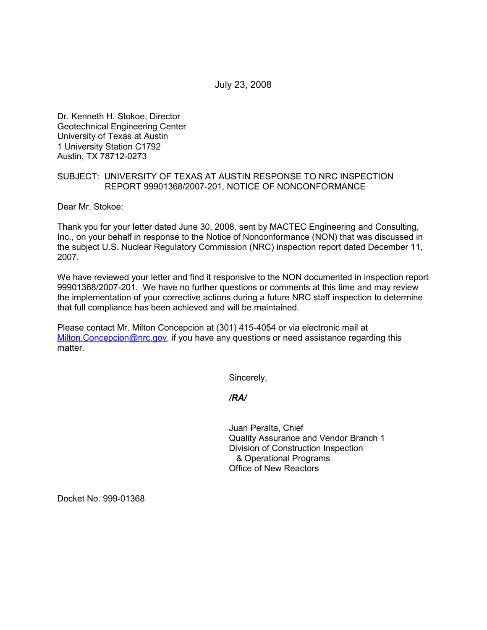July 23, 2008

Dr. Kenneth H. Stokoe, Director Geotechnical Engineering Center University of Texas at Austin 1 University Station C1792 Austin, TX 78712-0273

## SUBJECT: UNIVERSITY OF TEXAS AT AUSTIN RESPONSE TO NRC INSPECTION REPORT 99901368/2007-201, NOTICE OF NONCONFORMANCE

Dear Mr. Stokoe:

Thank you for your letter dated June 30, 2008, sent by MACTEC Engineering and Consulting, Inc., on your behalf in response to the Notice of Nonconformance (NON) that was discussed in the subject U.S. Nuclear Regulatory Commission (NRC) inspection report dated December 11, 2007.

We have reviewed your letter and find it responsive to the NON documented in inspection report 99901368/2007-201. We have no further questions or comments at this time and may review the implementation of your corrective actions during a future NRC staff inspection to determine that full compliance has been achieved and will be maintained.

Please contact Mr. Milton Concepcion at (301) 415-4054 or via electronic mail at Milton.Concepcion@nrc.gov, if you have any questions or need assistance regarding this matter.

Sincerely,

*/RA/* 

Juan Peralta, Chief Quality Assurance and Vendor Branch 1 Division of Construction Inspection & Operational Programs Office of New Reactors

Docket No. 999-01368